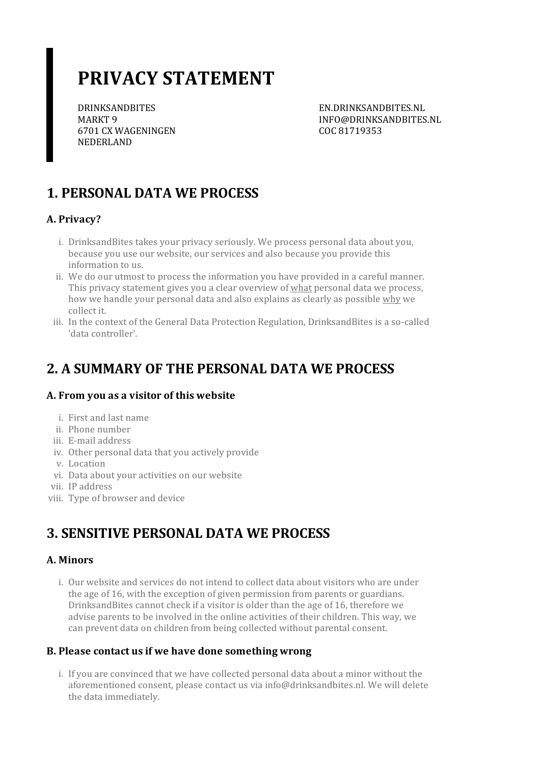# **PRIVACY STATEMENT**

DRINKSANDBITES MARKT 9 6701 CX WAGENINGEN NEDERLAND

EN.DRINKSANDBITES.NL INFO@DRINKSANDBITES.NL COC 81719353

# **1. PERSONAL DATA WE PROCESS**

### **A. Privacy?**

- i. DrinksandBites takes your privacy seriously. We process personal data about you, because you use our website, our services and also because you provide this information to us.
- ii. We do our utmost to process the information you have provided in a careful manner. This privacy statement gives you a clear overview of what personal data we process, how we handle your personal data and also explains as clearly as possible why we collect it.
- iii. In the context of the General Data Protection Regulation, DrinksandBites is a so-called 'data controller'.

### **2. A SUMMARY OF THE PERSONAL DATA WE PROCESS**

### **A. From you as a visitor of this website**

- i. First and last name
- ii. Phone number
- iii. E-mail address
- iv. Other personal data that you actively provide
- v. Location
- vi. Data about your activities on our website
- vii. IP address
- viii. Type of browser and device

### **3. SENSITIVE PERSONAL DATA WE PROCESS**

### **A. Minors**

i. Our website and services do not intend to collect data about visitors who are under the age of 16, with the exception of given permission from parents or guardians. DrinksandBites cannot check if a visitor is older than the age of 16, therefore we advise parents to be involved in the online activities of their children. This way, we can prevent data on children from being collected without parental consent.

### **B. Please contact usif we have done somethingwrong**

i. If you are convinced that we have collected personal data about a minor without the aforementioned consent, please contact us via info@drinksandbites.nl. We will delete the data immediately.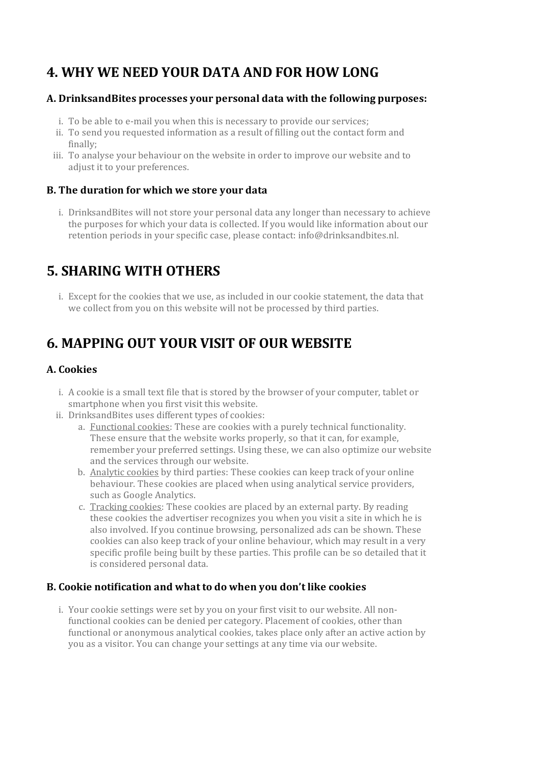## **4. WHY WE NEED YOUR DATA AND FOR HOW LONG**

#### **A. DrinksandBites processes your personal data with the following purposes:**

- i. To be able to e-mail you when this is necessary to provide our services;
- ii. To send you requested information as a result of filling out the contact form and finally;
- iii. To analyse your behaviour on the website in orderto improve our website and to adjust it to your preferences.

### **B. The duration for which we store your data**

i. DrinksandBites will not store your personal data any longer than necessary to achieve the purposes for which your data is collected. If you would like information about our retention periods in your specific case, please contact: info@drinksandbites.nl.

## **5. SHARING WITH OTHERS**

i. Except for the cookies that we use, as included in our cookie statement, the data that we collect from you on this website will not be processed by third parties.

### **6. MAPPING OUT YOUR VISIT OF OUR WEBSITE**

### **A. Cookies**

- i. A cookie is a small text file that is stored by the browser of your computer, tablet or smartphone when you first visit this website.
- ii. DrinksandBites uses different types of cookies:
	- a. Functional cookies: These are cookies with a purely technical functionality. These ensure that the website works properly, so that it can, for example, remember your preferred settings. Using these, we can also optimize our website and the services through our website.
	- b. Analytic cookies by third parties: These cookies can keep track of your online behaviour. These cookies are placed when using analytical service providers, such as Google Analytics.
	- c. Tracking cookies: These cookies are placed by an external party. By reading these cookies the advertiser recognizes you when you visit a site in which he is also involved. If you continue browsing, personalized ads can be shown. These cookies can also keep track of your online behaviour, which may result in a very specific profile being built by these parties. This profile can be so detailed that it is considered personal data.

### **B. Cookie notification and what to do when you don't like cookies**

i. Your cookie settings were set by you on your first visit to our website. All nonfunctional cookies can be denied per category. Placement of cookies, other than functional or anonymous analytical cookies, takes place only after an active action by you as a visitor. You can change yoursettings at any time via our website.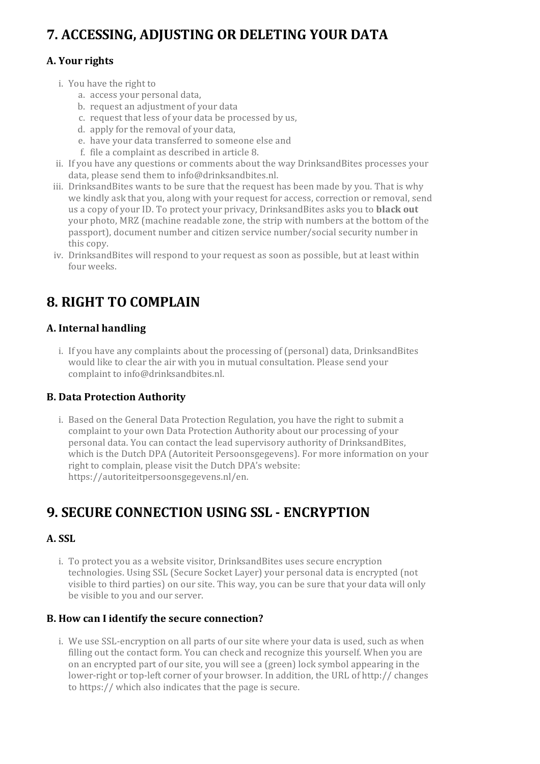# **7. ACCESSING, ADJUSTING OR DELETING YOUR DATA**

### **A. Yourrights**

- i. You have the right to
	- a. access your personal data,
	- b. request an adjustment of your data
	- c. request that less of your data be processed by us,
	- d. apply forthe removal of your data,
	- e. have your data transferred to someone else and
	- f. file a complaint as described in article 8.
- ii. If you have any questions or comments about the way DrinksandBites processes your data, please send them to info@drinksandbites.nl.
- iii. DrinksandBites wants to be sure that the request has been made by you. That is why we kindly ask that you, along with your request for access, correction or removal, send us a copy of yourID. To protect your privacy, DrinksandBites asks you to **black out** your photo, MRZ (machine readable zone, the strip with numbers at the bottom of the passport), document number and citizen service number/social security numberin this copy.
- iv. DrinksandBites will respond to your request as soon as possible, but at least within four weeks.

# **8. RIGHT TO COMPLAIN**

### **A. Internal handling**

i. If you have any complaints about the processing of (personal) data, DrinksandBites would like to clear the air with you in mutual consultation. Please send your complaint to info@drinksandbites.nl.

### **B. Data Protection Authority**

i. Based on the General Data Protection Regulation, you have the right to submit a complaint to your own Data Protection Authority about our processing of your personal data. You can contact the lead supervisory authority of DrinksandBites, which is the Dutch DPA (Autoriteit Persoonsgegevens). For more information on your right to complain, please visit the Dutch DPA's website: https://autoriteitpersoonsgegevens.nl/en.

# **9. SECURE CONNECTION USING SSL - ENCRYPTION**

### **A. SSL**

i. To protect you as a website visitor, DrinksandBites uses secure encryption technologies. Using SSL (Secure Socket Layer) your personal data is encrypted (not visible to third parties) on oursite. This way, you can be sure that your data will only be visible to you and our server.

### **B. How can I identify the secure connection?**

i. We use SSL-encryption on all parts of our site where your data is used, such as when filling out the contact form. You can check and recognize this yourself. When you are on an encrypted part of oursite, you will see a (green) lock symbol appearing in the lower-right ortop-left corner of your browser. In addition, the URL of http:// changes to https:// which also indicates that the page is secure.